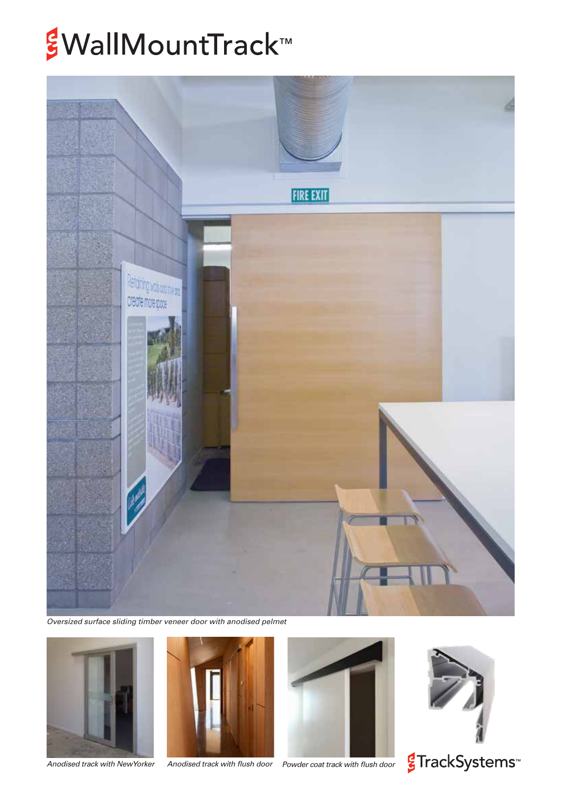# *§WallMountTrack™*



*Oversized surface sliding timber veneer door with anodised pelmet*



*Anodised track with NewYorker Anodised track with flush door*







<mark>€</mark>TrackSystems<sup>™</sup>

*Powder coat track with flush door*